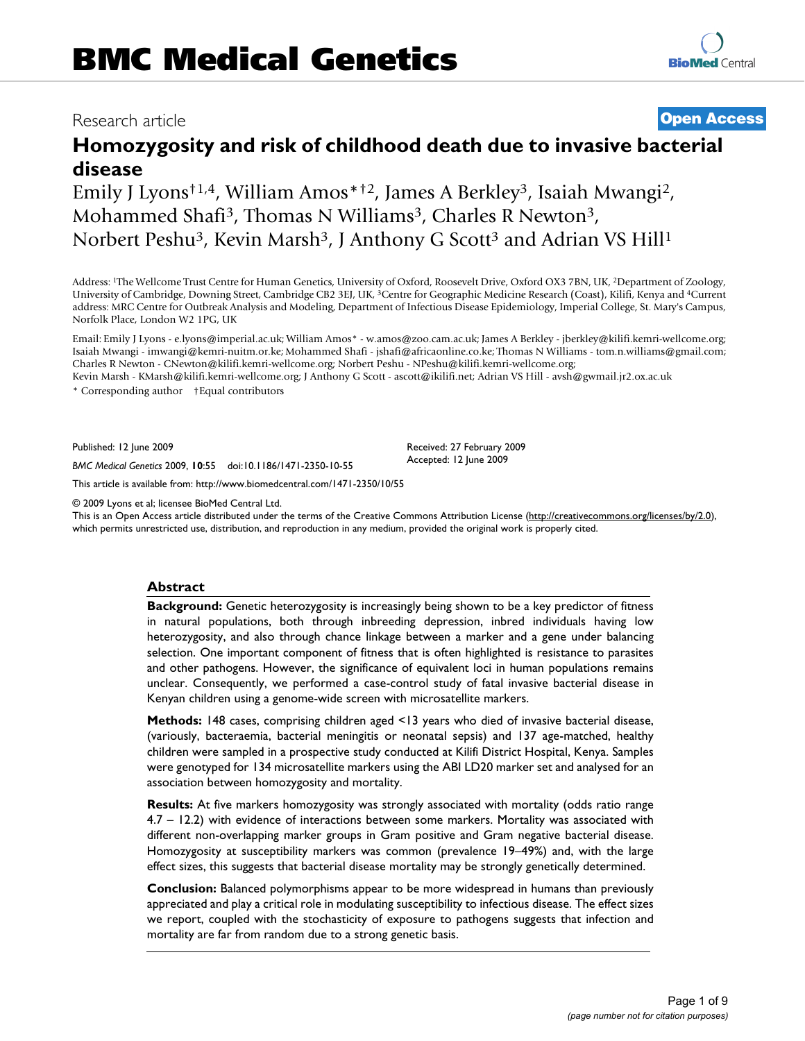## Research article **[Open Access](http://www.biomedcentral.com/info/about/charter/)**

# **Homozygosity and risk of childhood death due to invasive bacterial disease**

Emily J Lyons†1,4, William Amos\*†2, James A Berkley3, Isaiah Mwangi2, Mohammed Shafi<sup>3</sup>, Thomas N Williams<sup>3</sup>, Charles R Newton<sup>3</sup>, Norbert Peshu<sup>3</sup>, Kevin Marsh<sup>3</sup>, J Anthony G Scott<sup>3</sup> and Adrian VS Hill<sup>1</sup>

Address: 1The Wellcome Trust Centre for Human Genetics, University of Oxford, Roosevelt Drive, Oxford OX3 7BN, UK, 2Department of Zoology, University of Cambridge, Downing Street, Cambridge CB2 3EJ, UK, 3Centre for Geographic Medicine Research (Coast), Kilifi, Kenya and 4Current address: MRC Centre for Outbreak Analysis and Modeling, Department of Infectious Disease Epidemiology, Imperial College, St. Mary's Campus, Norfolk Place, London W2 1PG, UK

Email: Emily J Lyons - e.lyons@imperial.ac.uk; William Amos\* - w.amos@zoo.cam.ac.uk; James A Berkley - jberkley@kilifi.kemri-wellcome.org; Isaiah Mwangi - imwangi@kemri-nuitm.or.ke; Mohammed Shafi - jshafi@africaonline.co.ke; Thomas N Williams - tom.n.williams@gmail.com; Charles R Newton - CNewton@kilifi.kemri-wellcome.org; Norbert Peshu - NPeshu@kilifi.kemri-wellcome.org;

> Received: 27 February 2009 Accepted: 12 June 2009

Kevin Marsh - KMarsh@kilifi.kemri-wellcome.org; J Anthony G Scott - ascott@ikilifi.net; Adrian VS Hill - avsh@gwmail.jr2.ox.ac.uk \* Corresponding author †Equal contributors

Published: 12 June 2009

*BMC Medical Genetics* 2009, **10**:55 doi:10.1186/1471-2350-10-55

[This article is available from: http://www.biomedcentral.com/1471-2350/10/55](http://www.biomedcentral.com/1471-2350/10/55)

© 2009 Lyons et al; licensee BioMed Central Ltd.

This is an Open Access article distributed under the terms of the Creative Commons Attribution License [\(http://creativecommons.org/licenses/by/2.0\)](http://creativecommons.org/licenses/by/2.0), which permits unrestricted use, distribution, and reproduction in any medium, provided the original work is properly cited.

#### **Abstract**

**Background:** Genetic heterozygosity is increasingly being shown to be a key predictor of fitness in natural populations, both through inbreeding depression, inbred individuals having low heterozygosity, and also through chance linkage between a marker and a gene under balancing selection. One important component of fitness that is often highlighted is resistance to parasites and other pathogens. However, the significance of equivalent loci in human populations remains unclear. Consequently, we performed a case-control study of fatal invasive bacterial disease in Kenyan children using a genome-wide screen with microsatellite markers.

**Methods:** 148 cases, comprising children aged <13 years who died of invasive bacterial disease, (variously, bacteraemia, bacterial meningitis or neonatal sepsis) and 137 age-matched, healthy children were sampled in a prospective study conducted at Kilifi District Hospital, Kenya. Samples were genotyped for 134 microsatellite markers using the ABI LD20 marker set and analysed for an association between homozygosity and mortality.

**Results:** At five markers homozygosity was strongly associated with mortality (odds ratio range 4.7 – 12.2) with evidence of interactions between some markers. Mortality was associated with different non-overlapping marker groups in Gram positive and Gram negative bacterial disease. Homozygosity at susceptibility markers was common (prevalence 19–49%) and, with the large effect sizes, this suggests that bacterial disease mortality may be strongly genetically determined.

**Conclusion:** Balanced polymorphisms appear to be more widespread in humans than previously appreciated and play a critical role in modulating susceptibility to infectious disease. The effect sizes we report, coupled with the stochasticity of exposure to pathogens suggests that infection and mortality are far from random due to a strong genetic basis.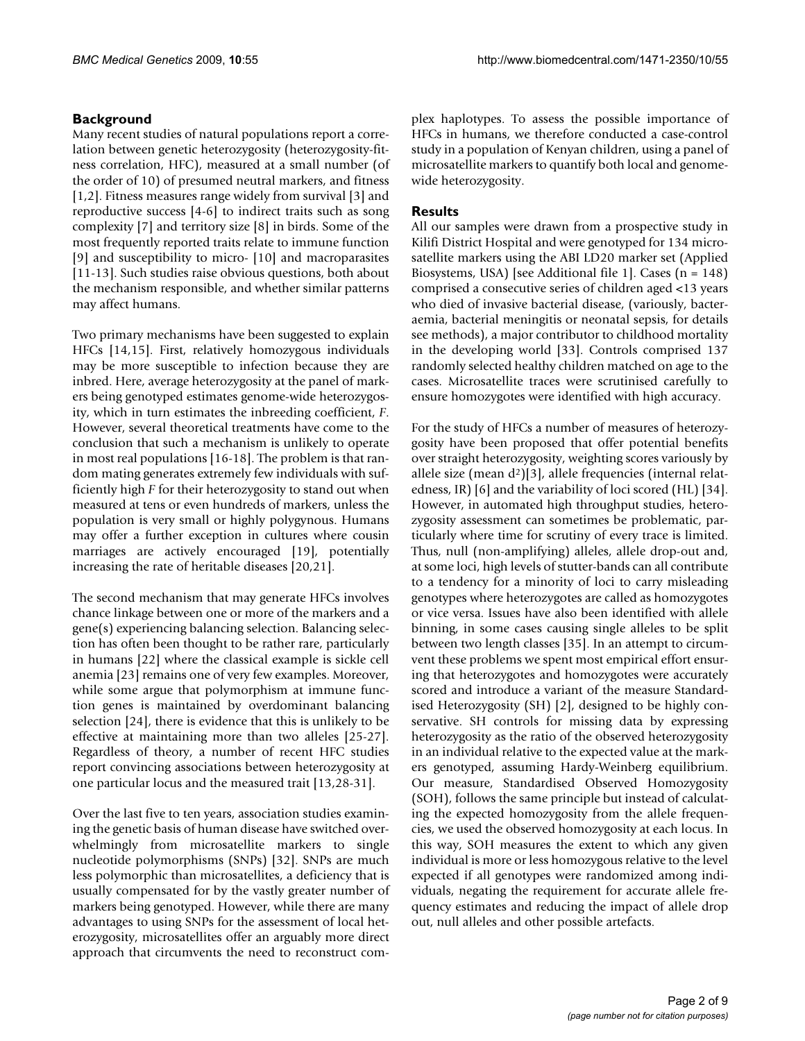## **Background**

Many recent studies of natural populations report a correlation between genetic heterozygosity (heterozygosity-fitness correlation, HFC), measured at a small number (of the order of 10) of presumed neutral markers, and fitness [1,2]. Fitness measures range widely from survival [3] and reproductive success [4-6] to indirect traits such as song complexity [7] and territory size [8] in birds. Some of the most frequently reported traits relate to immune function [9] and susceptibility to micro- [10] and macroparasites [11-13]. Such studies raise obvious questions, both about the mechanism responsible, and whether similar patterns may affect humans.

Two primary mechanisms have been suggested to explain HFCs [14,15]. First, relatively homozygous individuals may be more susceptible to infection because they are inbred. Here, average heterozygosity at the panel of markers being genotyped estimates genome-wide heterozygosity, which in turn estimates the inbreeding coefficient, *F*. However, several theoretical treatments have come to the conclusion that such a mechanism is unlikely to operate in most real populations [16-18]. The problem is that random mating generates extremely few individuals with sufficiently high *F* for their heterozygosity to stand out when measured at tens or even hundreds of markers, unless the population is very small or highly polygynous. Humans may offer a further exception in cultures where cousin marriages are actively encouraged [19], potentially increasing the rate of heritable diseases [20,21].

The second mechanism that may generate HFCs involves chance linkage between one or more of the markers and a gene(s) experiencing balancing selection. Balancing selection has often been thought to be rather rare, particularly in humans [22] where the classical example is sickle cell anemia [23] remains one of very few examples. Moreover, while some argue that polymorphism at immune function genes is maintained by overdominant balancing selection [24], there is evidence that this is unlikely to be effective at maintaining more than two alleles [25-27]. Regardless of theory, a number of recent HFC studies report convincing associations between heterozygosity at one particular locus and the measured trait [13,28-31].

Over the last five to ten years, association studies examining the genetic basis of human disease have switched overwhelmingly from microsatellite markers to single nucleotide polymorphisms (SNPs) [32]. SNPs are much less polymorphic than microsatellites, a deficiency that is usually compensated for by the vastly greater number of markers being genotyped. However, while there are many advantages to using SNPs for the assessment of local heterozygosity, microsatellites offer an arguably more direct approach that circumvents the need to reconstruct complex haplotypes. To assess the possible importance of HFCs in humans, we therefore conducted a case-control study in a population of Kenyan children, using a panel of microsatellite markers to quantify both local and genomewide heterozygosity.

## **Results**

All our samples were drawn from a prospective study in Kilifi District Hospital and were genotyped for 134 microsatellite markers using the ABI LD20 marker set (Applied Biosystems, USA) [see Additional file 1]. Cases (n = 148) comprised a consecutive series of children aged <13 years who died of invasive bacterial disease, (variously, bacteraemia, bacterial meningitis or neonatal sepsis, for details see methods), a major contributor to childhood mortality in the developing world [33]. Controls comprised 137 randomly selected healthy children matched on age to the cases. Microsatellite traces were scrutinised carefully to ensure homozygotes were identified with high accuracy.

For the study of HFCs a number of measures of heterozygosity have been proposed that offer potential benefits over straight heterozygosity, weighting scores variously by allele size (mean  $d^2$ )[3], allele frequencies (internal relatedness, IR) [6] and the variability of loci scored (HL) [34]. However, in automated high throughput studies, heterozygosity assessment can sometimes be problematic, particularly where time for scrutiny of every trace is limited. Thus, null (non-amplifying) alleles, allele drop-out and, at some loci, high levels of stutter-bands can all contribute to a tendency for a minority of loci to carry misleading genotypes where heterozygotes are called as homozygotes or vice versa. Issues have also been identified with allele binning, in some cases causing single alleles to be split between two length classes [35]. In an attempt to circumvent these problems we spent most empirical effort ensuring that heterozygotes and homozygotes were accurately scored and introduce a variant of the measure Standardised Heterozygosity (SH) [2], designed to be highly conservative. SH controls for missing data by expressing heterozygosity as the ratio of the observed heterozygosity in an individual relative to the expected value at the markers genotyped, assuming Hardy-Weinberg equilibrium. Our measure, Standardised Observed Homozygosity (SOH), follows the same principle but instead of calculating the expected homozygosity from the allele frequencies, we used the observed homozygosity at each locus. In this way, SOH measures the extent to which any given individual is more or less homozygous relative to the level expected if all genotypes were randomized among individuals, negating the requirement for accurate allele frequency estimates and reducing the impact of allele drop out, null alleles and other possible artefacts.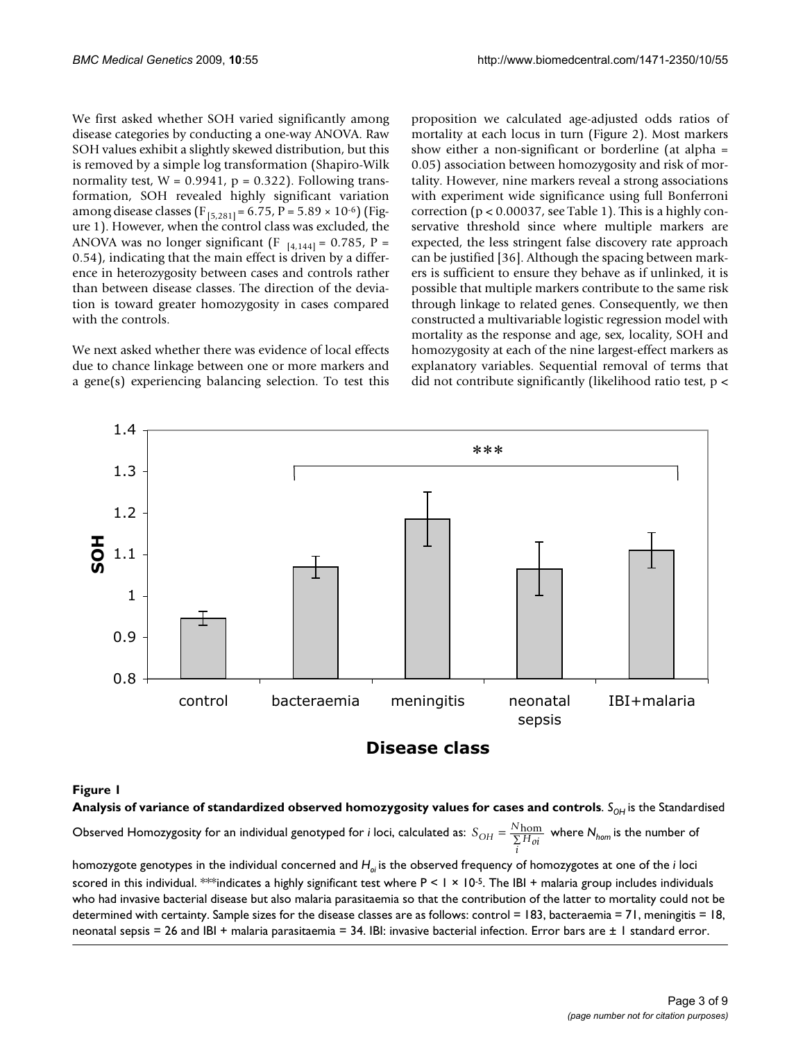We first asked whether SOH varied significantly among disease categories by conducting a one-way ANOVA. Raw SOH values exhibit a slightly skewed distribution, but this is removed by a simple log transformation (Shapiro-Wilk normality test,  $W = 0.9941$ ,  $p = 0.322$ ). Following transformation, SOH revealed highly significant variation among disease classes (F<sub>15,2811</sub> = 6.75, P = 5.89  $\times$  10<sup>-6</sup>) (Figure 1). However, when the control class was excluded, the ANOVA was no longer significant (F  $_{[4,144]} = 0.785$ , P = 0.54), indicating that the main effect is driven by a difference in heterozygosity between cases and controls rather than between disease classes. The direction of the deviation is toward greater homozygosity in cases compared with the controls.

We next asked whether there was evidence of local effects due to chance linkage between one or more markers and a gene(s) experiencing balancing selection. To test this proposition we calculated age-adjusted odds ratios of mortality at each locus in turn (Figure 2). Most markers show either a non-significant or borderline (at alpha = 0.05) association between homozygosity and risk of mortality. However, nine markers reveal a strong associations with experiment wide significance using full Bonferroni correction (p < 0.00037, see Table 1). This is a highly conservative threshold since where multiple markers are expected, the less stringent false discovery rate approach can be justified [36]. Although the spacing between markers is sufficient to ensure they behave as if unlinked, it is possible that multiple markers contribute to the same risk through linkage to related genes. Consequently, we then constructed a multivariable logistic regression model with mortality as the response and age, sex, locality, SOH and homozygosity at each of the nine largest-effect markers as explanatory variables. Sequential removal of terms that did not contribute significantly (likelihood ratio test, p <



**Disease class**

## Analysis of variance of standardized observ **Figure 1** ed homozygosity values for cases and controls

Analysis of variance of standardized observed homozygosity values for cases and controls. *S*<sub>OH</sub> is the Standardised

Observed Homozygosity for an individual genotyped for *i* loci, calculated as:  $S_{OH} = \frac{N_{\rm hom}}{\Sigma H_{ci}}$  where  $N_{\rm hom}$  is the number of  $=\frac{N_{\text{hom}}}{\sum\limits_{i} H_{oi}}$ 

homozygote genotypes in the individual concerned and *Hoi* is the observed frequency of homozygotes at one of the *i* loci scored in this individual. \*\*indicates a highly significant test where  $P \le 1 \times 10^{-5}$ . The IBI + malaria group includes individuals who had invasive bacterial disease but also malaria parasitaemia so that the contribution of the latter to mortality could not be determined with certainty. Sample sizes for the disease classes are as follows: control = 183, bacteraemia = 71, meningitis = 18, neonatal sepsis = 26 and IBI + malaria parasitaemia = 34. IBI: invasive bacterial infection. Error bars are ± 1 standard error.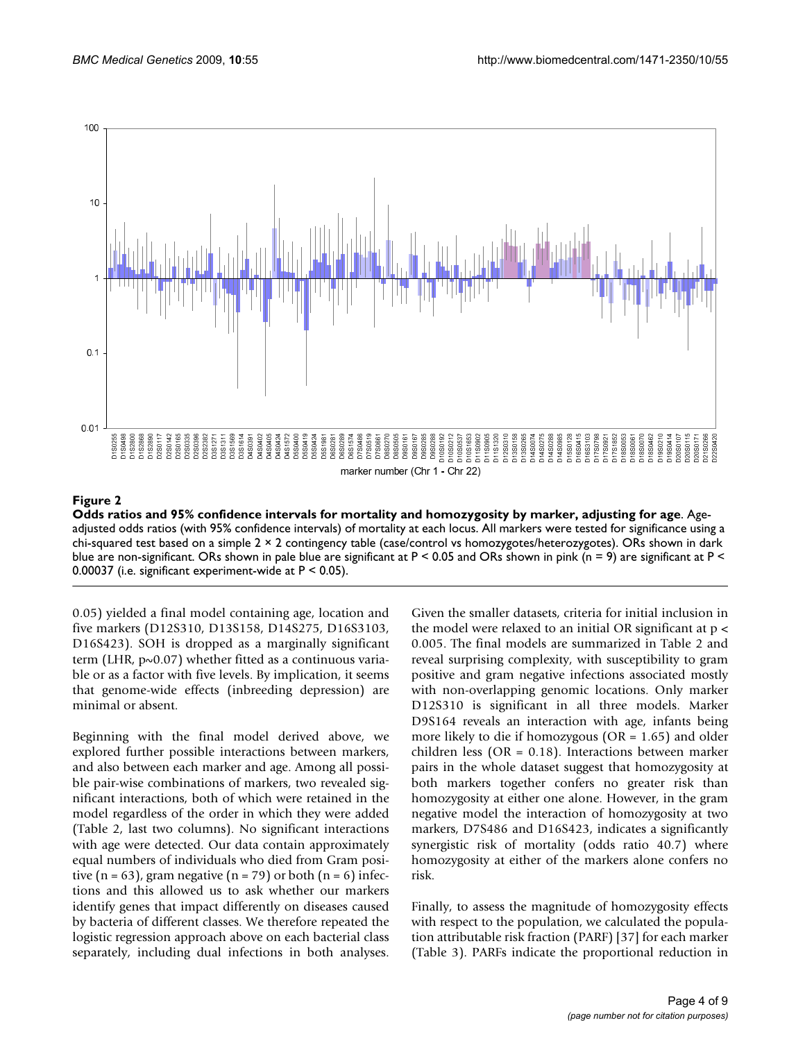

#### Odds ratios and 95% conf **Figure 2** idence intervals for mortality and homozygosity by marker, adjusting for age

**Odds ratios and 95% confidence intervals for mortality and homozygosity by marker, adjusting for age**. Ageadjusted odds ratios (with 95% confidence intervals) of mortality at each locus. All markers were tested for significance using a chi-squared test based on a simple 2 × 2 contingency table (case/control vs homozygotes/heterozygotes). ORs shown in dark blue are non-significant. ORs shown in pale blue are significant at  $P < 0.05$  and ORs shown in pink (n = 9) are significant at  $P <$ 0.00037 (i.e. significant experiment-wide at P < 0.05).

0.05) yielded a final model containing age, location and five markers (D12S310, D13S158, D14S275, D16S3103, D16S423). SOH is dropped as a marginally significant term (LHR, p~0.07) whether fitted as a continuous variable or as a factor with five levels. By implication, it seems that genome-wide effects (inbreeding depression) are minimal or absent.

Beginning with the final model derived above, we explored further possible interactions between markers, and also between each marker and age. Among all possible pair-wise combinations of markers, two revealed significant interactions, both of which were retained in the model regardless of the order in which they were added (Table 2, last two columns). No significant interactions with age were detected. Our data contain approximately equal numbers of individuals who died from Gram positive  $(n = 63)$ , gram negative  $(n = 79)$  or both  $(n = 6)$  infections and this allowed us to ask whether our markers identify genes that impact differently on diseases caused by bacteria of different classes. We therefore repeated the logistic regression approach above on each bacterial class separately, including dual infections in both analyses.

Given the smaller datasets, criteria for initial inclusion in the model were relaxed to an initial OR significant at p < 0.005. The final models are summarized in Table 2 and reveal surprising complexity, with susceptibility to gram positive and gram negative infections associated mostly with non-overlapping genomic locations. Only marker D12S310 is significant in all three models. Marker D9S164 reveals an interaction with age, infants being more likely to die if homozygous ( $OR = 1.65$ ) and older children less (OR = 0.18). Interactions between marker pairs in the whole dataset suggest that homozygosity at both markers together confers no greater risk than homozygosity at either one alone. However, in the gram negative model the interaction of homozygosity at two markers, D7S486 and D16S423, indicates a significantly synergistic risk of mortality (odds ratio 40.7) where homozygosity at either of the markers alone confers no risk.

Finally, to assess the magnitude of homozygosity effects with respect to the population, we calculated the population attributable risk fraction (PARF) [37] for each marker (Table 3). PARFs indicate the proportional reduction in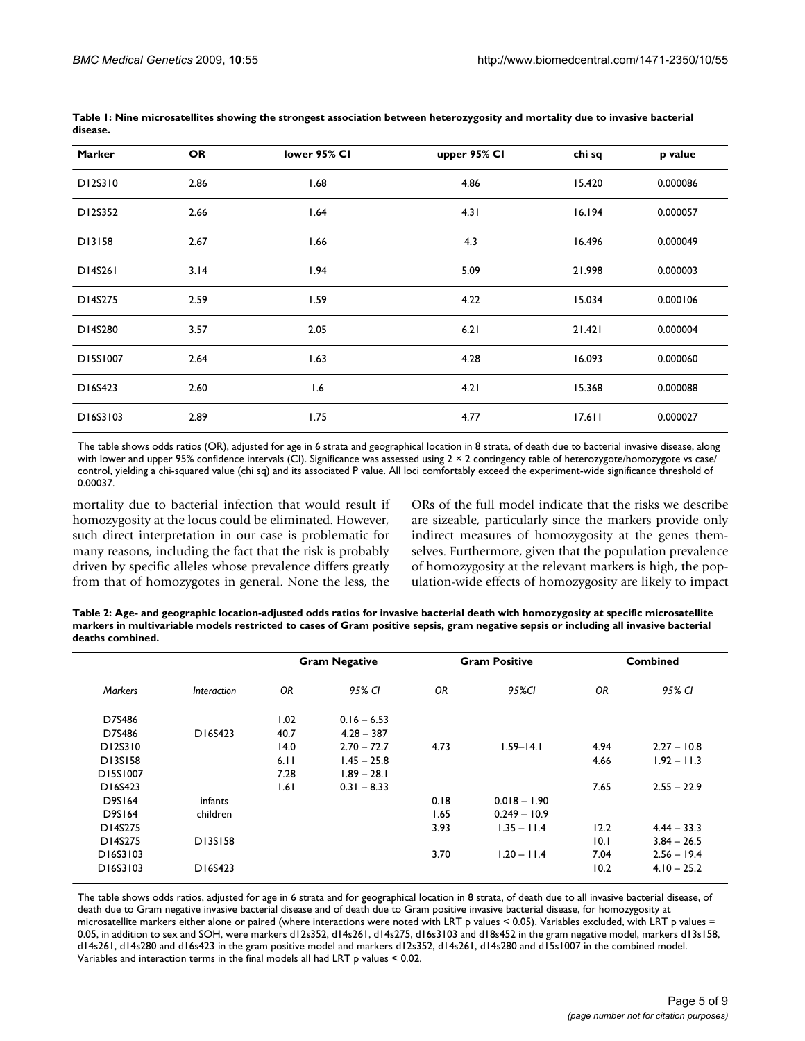| <b>Marker</b> | <b>OR</b> | lower 95% CI | upper 95% CI | chi sq | p value  |
|---------------|-----------|--------------|--------------|--------|----------|
| D12S310       | 2.86      | 1.68         | 4.86         | 15.420 | 0.000086 |
| D12S352       | 2.66      | 1.64         | 4.31         | 16.194 | 0.000057 |
| D13158        | 2.67      | 1.66         | 4.3          | 16.496 | 0.000049 |
| D14S261       | 3.14      | 1.94         | 5.09         | 21.998 | 0.000003 |
| D14S275       | 2.59      | 1.59         | 4.22         | 15.034 | 0.000106 |
| D14S280       | 3.57      | 2.05         | 6.21         | 21.421 | 0.000004 |
| D15S1007      | 2.64      | 1.63         | 4.28         | 16.093 | 0.000060 |
| D16S423       | 2.60      | 1.6          | 4.21         | 15.368 | 0.000088 |
| D16S3103      | 2.89      | 1.75         | 4.77         | 17.611 | 0.000027 |

**Table 1: Nine microsatellites showing the strongest association between heterozygosity and mortality due to invasive bacterial disease.**

The table shows odds ratios (OR), adjusted for age in 6 strata and geographical location in 8 strata, of death due to bacterial invasive disease, along with lower and upper 95% confidence intervals (CI). Significance was assessed using 2 × 2 contingency table of heterozygote/homozygote vs case/ control, yielding a chi-squared value (chi sq) and its associated P value. All loci comfortably exceed the experiment-wide significance threshold of 0.00037.

mortality due to bacterial infection that would result if homozygosity at the locus could be eliminated. However, such direct interpretation in our case is problematic for many reasons, including the fact that the risk is probably driven by specific alleles whose prevalence differs greatly from that of homozygotes in general. None the less, the ORs of the full model indicate that the risks we describe are sizeable, particularly since the markers provide only indirect measures of homozygosity at the genes themselves. Furthermore, given that the population prevalence of homozygosity at the relevant markers is high, the population-wide effects of homozygosity are likely to impact

**Table 2: Age- and geographic location-adjusted odds ratios for invasive bacterial death with homozygosity at specific microsatellite markers in multivariable models restricted to cases of Gram positive sepsis, gram negative sepsis or including all invasive bacterial deaths combined.**

| <b>Markers</b> | Interaction | <b>Gram Negative</b> |               | <b>Gram Positive</b> |                | <b>Combined</b> |               |
|----------------|-------------|----------------------|---------------|----------------------|----------------|-----------------|---------------|
|                |             | 0R                   | 95% CI        | 0R                   | 95%CI          | 0R              | 95% CI        |
| D7S486         |             | 1.02                 | $0.16 - 6.53$ |                      |                |                 |               |
| D7S486         | D16S423     | 40.7                 | $4.28 - 387$  |                      |                |                 |               |
| D12S310        |             | 14.0                 | $2.70 - 72.7$ | 4.73                 | $1.59 - 14.1$  | 4.94            | $2.27 - 10.8$ |
| DI3S158        |             | 6.11                 | $1.45 - 25.8$ |                      |                | 4.66            | $1.92 - 11.3$ |
| D15S1007       |             | 7.28                 | $1.89 - 28.1$ |                      |                |                 |               |
| D16S423        |             | 1.61                 | $0.31 - 8.33$ |                      |                | 7.65            | $2.55 - 22.9$ |
| D9S164         | infants     |                      |               | 0.18                 | $0.018 - 1.90$ |                 |               |
| D9S164         | children    |                      |               | 1.65                 | $0.249 - 10.9$ |                 |               |
| D14S275        |             |                      |               | 3.93                 | $1.35 - 11.4$  | 12.2            | $4.44 - 33.3$ |
| D14S275        | D13S158     |                      |               |                      |                | 10.1            | $3.84 - 26.5$ |
| D16S3103       |             |                      |               | 3.70                 | $1.20 - 11.4$  | 7.04            | $2.56 - 19.4$ |
| D16S3103       | D16S423     |                      |               |                      |                | 10.2            | $4.10 - 25.2$ |

The table shows odds ratios, adjusted for age in 6 strata and for geographical location in 8 strata, of death due to all invasive bacterial disease, of death due to Gram negative invasive bacterial disease and of death due to Gram positive invasive bacterial disease, for homozygosity at microsatellite markers either alone or paired (where interactions were noted with LRT p values < 0.05). Variables excluded, with LRT p values = 0.05, in addition to sex and SOH, were markers d12s352, d14s261, d14s275, d16s3103 and d18s452 in the gram negative model, markers d13s158, d14s261, d14s280 and d16s423 in the gram positive model and markers d12s352, d14s261, d14s280 and d15s1007 in the combined model. Variables and interaction terms in the final models all had LRT p values < 0.02.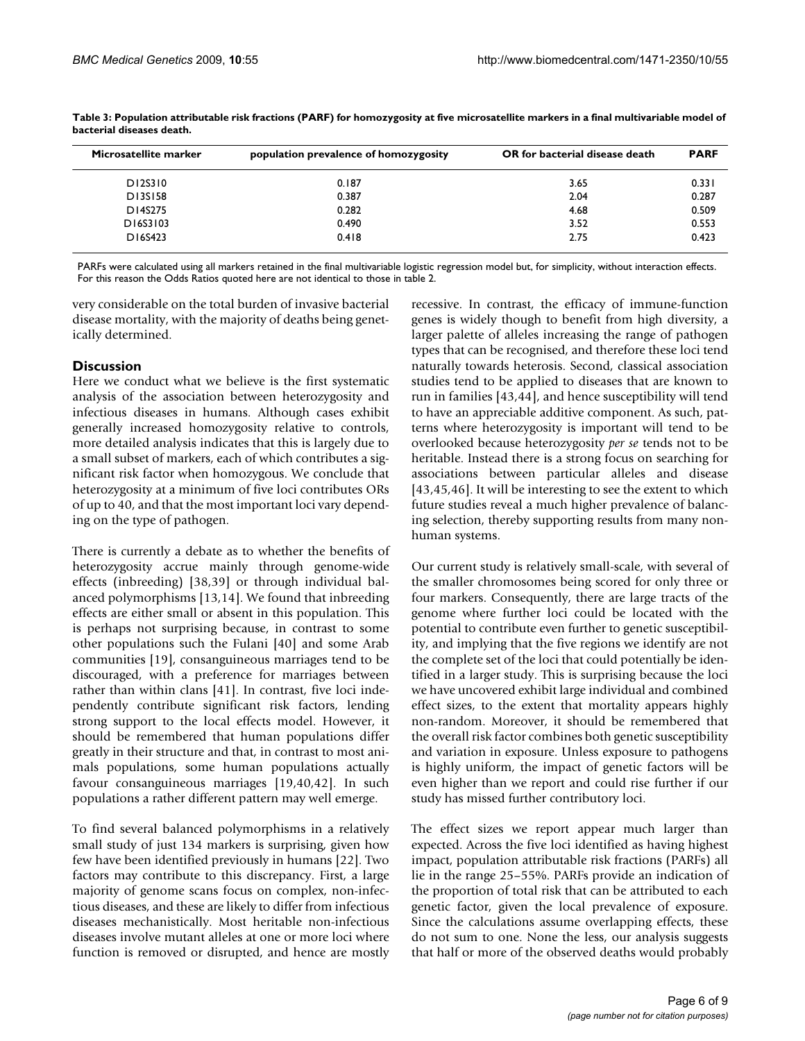| Microsatellite marker | population prevalence of homozygosity | OR for bacterial disease death | <b>PARF</b> |
|-----------------------|---------------------------------------|--------------------------------|-------------|
| D12S310               | 0.187                                 | 3.65                           | 0.331       |
| <b>DI3SI58</b>        | 0.387                                 | 2.04                           | 0.287       |
| D14S275               | 0.282                                 | 4.68                           | 0.509       |
| D16S3103              | 0.490                                 | 3.52                           | 0.553       |
| D16S423               | 0.418                                 | 2.75                           | 0.423       |

**Table 3: Population attributable risk fractions (PARF) for homozygosity at five microsatellite markers in a final multivariable model of bacterial diseases death.**

PARFs were calculated using all markers retained in the final multivariable logistic regression model but, for simplicity, without interaction effects. For this reason the Odds Ratios quoted here are not identical to those in table 2.

very considerable on the total burden of invasive bacterial disease mortality, with the majority of deaths being genetically determined.

## **Discussion**

Here we conduct what we believe is the first systematic analysis of the association between heterozygosity and infectious diseases in humans. Although cases exhibit generally increased homozygosity relative to controls, more detailed analysis indicates that this is largely due to a small subset of markers, each of which contributes a significant risk factor when homozygous. We conclude that heterozygosity at a minimum of five loci contributes ORs of up to 40, and that the most important loci vary depending on the type of pathogen.

There is currently a debate as to whether the benefits of heterozygosity accrue mainly through genome-wide effects (inbreeding) [38,39] or through individual balanced polymorphisms [13,14]. We found that inbreeding effects are either small or absent in this population. This is perhaps not surprising because, in contrast to some other populations such the Fulani [40] and some Arab communities [19], consanguineous marriages tend to be discouraged, with a preference for marriages between rather than within clans [41]. In contrast, five loci independently contribute significant risk factors, lending strong support to the local effects model. However, it should be remembered that human populations differ greatly in their structure and that, in contrast to most animals populations, some human populations actually favour consanguineous marriages [19,40,42]. In such populations a rather different pattern may well emerge.

To find several balanced polymorphisms in a relatively small study of just 134 markers is surprising, given how few have been identified previously in humans [22]. Two factors may contribute to this discrepancy. First, a large majority of genome scans focus on complex, non-infectious diseases, and these are likely to differ from infectious diseases mechanistically. Most heritable non-infectious diseases involve mutant alleles at one or more loci where function is removed or disrupted, and hence are mostly recessive. In contrast, the efficacy of immune-function genes is widely though to benefit from high diversity, a larger palette of alleles increasing the range of pathogen types that can be recognised, and therefore these loci tend naturally towards heterosis. Second, classical association studies tend to be applied to diseases that are known to run in families [43,44], and hence susceptibility will tend to have an appreciable additive component. As such, patterns where heterozygosity is important will tend to be overlooked because heterozygosity *per se* tends not to be heritable. Instead there is a strong focus on searching for associations between particular alleles and disease [43,45,46]. It will be interesting to see the extent to which future studies reveal a much higher prevalence of balancing selection, thereby supporting results from many nonhuman systems.

Our current study is relatively small-scale, with several of the smaller chromosomes being scored for only three or four markers. Consequently, there are large tracts of the genome where further loci could be located with the potential to contribute even further to genetic susceptibility, and implying that the five regions we identify are not the complete set of the loci that could potentially be identified in a larger study. This is surprising because the loci we have uncovered exhibit large individual and combined effect sizes, to the extent that mortality appears highly non-random. Moreover, it should be remembered that the overall risk factor combines both genetic susceptibility and variation in exposure. Unless exposure to pathogens is highly uniform, the impact of genetic factors will be even higher than we report and could rise further if our study has missed further contributory loci.

The effect sizes we report appear much larger than expected. Across the five loci identified as having highest impact, population attributable risk fractions (PARFs) all lie in the range 25–55%. PARFs provide an indication of the proportion of total risk that can be attributed to each genetic factor, given the local prevalence of exposure. Since the calculations assume overlapping effects, these do not sum to one. None the less, our analysis suggests that half or more of the observed deaths would probably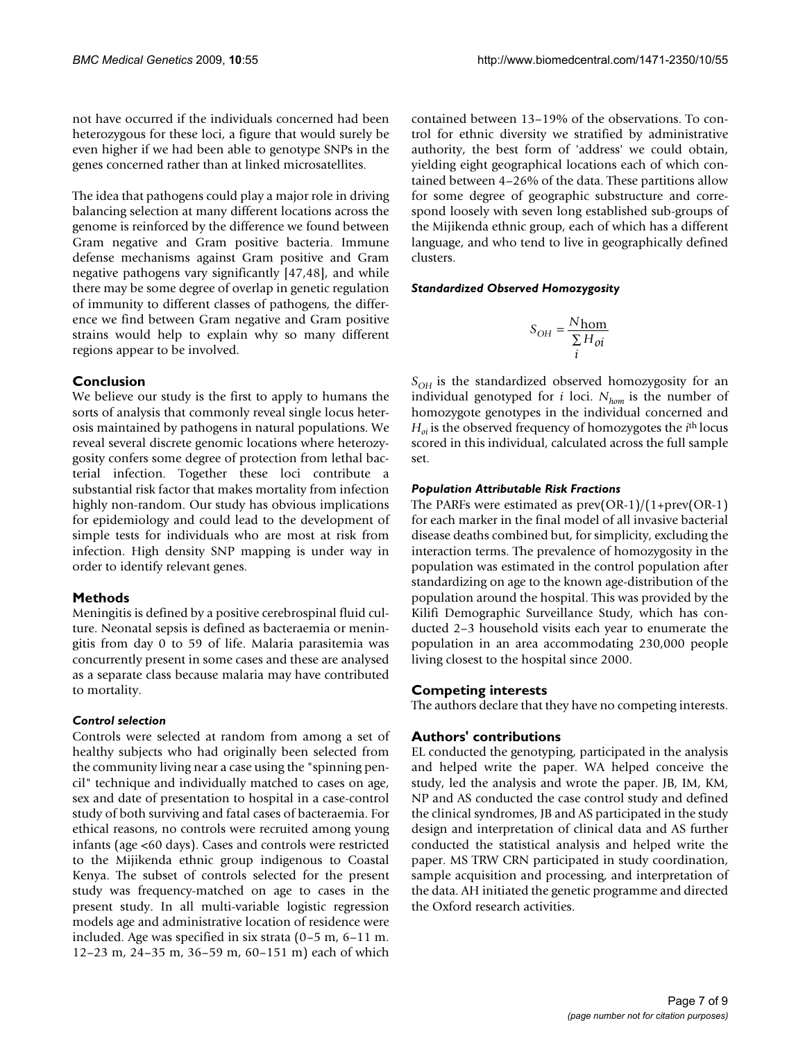not have occurred if the individuals concerned had been heterozygous for these loci, a figure that would surely be even higher if we had been able to genotype SNPs in the genes concerned rather than at linked microsatellites.

The idea that pathogens could play a major role in driving balancing selection at many different locations across the genome is reinforced by the difference we found between Gram negative and Gram positive bacteria. Immune defense mechanisms against Gram positive and Gram negative pathogens vary significantly [47,48], and while there may be some degree of overlap in genetic regulation of immunity to different classes of pathogens, the difference we find between Gram negative and Gram positive strains would help to explain why so many different regions appear to be involved.

#### **Conclusion**

We believe our study is the first to apply to humans the sorts of analysis that commonly reveal single locus heterosis maintained by pathogens in natural populations. We reveal several discrete genomic locations where heterozygosity confers some degree of protection from lethal bacterial infection. Together these loci contribute a substantial risk factor that makes mortality from infection highly non-random. Our study has obvious implications for epidemiology and could lead to the development of simple tests for individuals who are most at risk from infection. High density SNP mapping is under way in order to identify relevant genes.

#### **Methods**

Meningitis is defined by a positive cerebrospinal fluid culture. Neonatal sepsis is defined as bacteraemia or meningitis from day 0 to 59 of life. Malaria parasitemia was concurrently present in some cases and these are analysed as a separate class because malaria may have contributed to mortality.

#### *Control selection*

Controls were selected at random from among a set of healthy subjects who had originally been selected from the community living near a case using the "spinning pencil" technique and individually matched to cases on age, sex and date of presentation to hospital in a case-control study of both surviving and fatal cases of bacteraemia. For ethical reasons, no controls were recruited among young infants (age <60 days). Cases and controls were restricted to the Mijikenda ethnic group indigenous to Coastal Kenya. The subset of controls selected for the present study was frequency-matched on age to cases in the present study. In all multi-variable logistic regression models age and administrative location of residence were included. Age was specified in six strata (0–5 m, 6–11 m. 12–23 m, 24–35 m, 36–59 m, 60–151 m) each of which

contained between 13–19% of the observations. To control for ethnic diversity we stratified by administrative authority, the best form of 'address' we could obtain, yielding eight geographical locations each of which contained between 4–26% of the data. These partitions allow for some degree of geographic substructure and correspond loosely with seven long established sub-groups of the Mijikenda ethnic group, each of which has a different language, and who tend to live in geographically defined clusters.

*Standardized Observed Homozygosity*

$$
S_{OH} = \frac{N_{\text{hom}}}{\sum_{i} H_{oi}}
$$

*SOH* is the standardized observed homozygosity for an individual genotyped for  $i$  loci.  $N_{hom}$  is the number of homozygote genotypes in the individual concerned and *Hoi* is the observed frequency of homozygotes the *i*th locus scored in this individual, calculated across the full sample set.

#### *Population Attributable Risk Fractions*

The PARFs were estimated as prev(OR-1)/(1+prev(OR-1) for each marker in the final model of all invasive bacterial disease deaths combined but, for simplicity, excluding the interaction terms. The prevalence of homozygosity in the population was estimated in the control population after standardizing on age to the known age-distribution of the population around the hospital. This was provided by the Kilifi Demographic Surveillance Study, which has conducted 2–3 household visits each year to enumerate the population in an area accommodating 230,000 people living closest to the hospital since 2000.

#### **Competing interests**

The authors declare that they have no competing interests.

#### **Authors' contributions**

EL conducted the genotyping, participated in the analysis and helped write the paper. WA helped conceive the study, led the analysis and wrote the paper. JB, IM, KM, NP and AS conducted the case control study and defined the clinical syndromes, JB and AS participated in the study design and interpretation of clinical data and AS further conducted the statistical analysis and helped write the paper. MS TRW CRN participated in study coordination, sample acquisition and processing, and interpretation of the data. AH initiated the genetic programme and directed the Oxford research activities.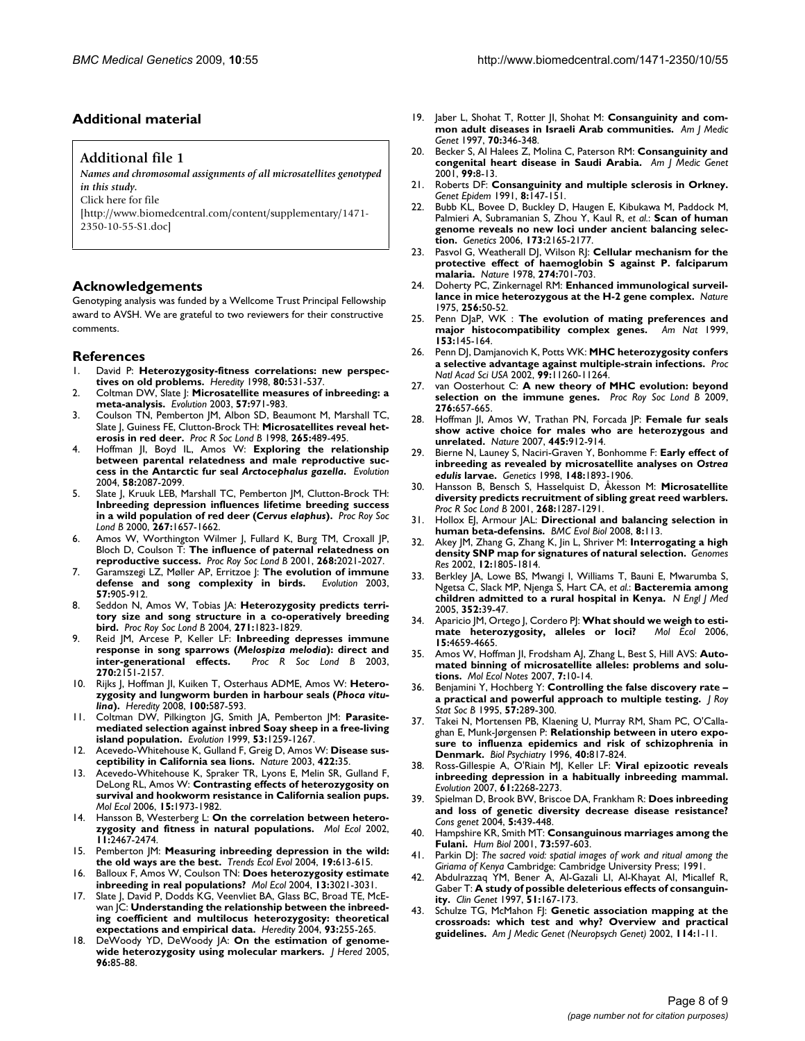#### **Additional material**

#### **Additional file 1**

*Names and chromosomal assignments of all microsatellites genotyped in this study.* Click here for file

[\[http://www.biomedcentral.com/content/supplementary/1471-](http://www.biomedcentral.com/content/supplementary/1471-2350-10-55-S1.doc) 2350-10-55-S1.doc]

#### **Acknowledgements**

Genotyping analysis was funded by a Wellcome Trust Principal Fellowship award to AVSH. We are grateful to two reviewers for their constructive comments.

#### **References**

- 1. David P: **[Heterozygosity-fitness correlations: new perspec](http://www.ncbi.nlm.nih.gov/entrez/query.fcgi?cmd=Retrieve&db=PubMed&dopt=Abstract&list_uids=9650277)[tives on old problems.](http://www.ncbi.nlm.nih.gov/entrez/query.fcgi?cmd=Retrieve&db=PubMed&dopt=Abstract&list_uids=9650277)** *Heredity* 1998, **80:**531-537.
- 2. Coltman DW, Slate J: **[Microsatellite measures of inbreeding: a](http://www.ncbi.nlm.nih.gov/entrez/query.fcgi?cmd=Retrieve&db=PubMed&dopt=Abstract&list_uids=12836816) [meta-analysis.](http://www.ncbi.nlm.nih.gov/entrez/query.fcgi?cmd=Retrieve&db=PubMed&dopt=Abstract&list_uids=12836816)** *Evolution* 2003, **57:**971-983.
- 3. Coulson TN, Pemberton JM, Albon SD, Beaumont M, Marshall TC, Slate J, Guiness FE, Clutton-Brock TH: **Microsatellites reveal heterosis in red deer.** *Proc R Soc Lond B* 1998, **265:**489-495.
- 4. Hoffman JI, Boyd IL, Amos W: **Exploring the relationship between parental relatedness and male reproductive success in the Antarctic fur seal** *Arctocephalus gazella***[.](http://www.ncbi.nlm.nih.gov/entrez/query.fcgi?cmd=Retrieve&db=PubMed&dopt=Abstract&list_uids=15521464)** *Evolution* 2004, **58:**2087-2099.
- 5. Slate J, Kruuk LEB, Marshall TC, Pemberton JM, Clutton-Brock TH: **Inbreeding depression influences lifetime breeding success in a wild population of red deer (***Cervus elaphus***).** *Proc Roy Soc Lond B* 2000, **267:**1657-1662.
- Amos W, Worthington Wilmer J, Fullard K, Burg TM, Croxall JP, Bloch D, Coulson T: **The influence of paternal relatedness on reproductive success.** *Proc Roy Soc Lond B* 2001, **268:**2021-2027.
- 7. Garamszegi LZ, Møller AP, Erritzoe J: **[The evolution of immune](http://www.ncbi.nlm.nih.gov/entrez/query.fcgi?cmd=Retrieve&db=PubMed&dopt=Abstract&list_uids=12778559)** [defense and song complexity in birds.](http://www.ncbi.nlm.nih.gov/entrez/query.fcgi?cmd=Retrieve&db=PubMed&dopt=Abstract&list_uids=12778559) **57:**905-912.
- Seddon N, Amos W, Tobias JA: Heterozygosity predicts terri**tory size and song structure in a co-operatively breeding bird.** *Proc Roy Soc Lond B* 2004, **271:**1823-1829.
- 9. Reid JM, Arcese P, Keller LF: **Inbreeding depresses immune response in song sparrows (***Melospiza melodia***): direct and inter-generational effects.** *Proc R Soc Lond B* 2003, **270:**2151-2157.
- 10. Rijks J, Hoffman JI, Kuiken T, Osterhaus ADME, Amos W: Hetero**zygosity and lungworm burden in harbour seals (***Phoca vitulina***[\).](http://www.ncbi.nlm.nih.gov/entrez/query.fcgi?cmd=Retrieve&db=PubMed&dopt=Abstract&list_uids=18398424)** *Heredity* 2008, **100:**587-593.
- 11. Coltman DW, Pilkington JG, Smith JA, Pemberton JM: **Parasitemediated selection against inbred Soay sheep in a free-living island population.** *Evolution* 1999, **53:**1259-1267.
- 12. Acevedo-Whitehouse K, Gulland F, Greig D, Amos W: **[Disease sus](http://www.ncbi.nlm.nih.gov/entrez/query.fcgi?cmd=Retrieve&db=PubMed&dopt=Abstract&list_uids=12621424)[ceptibility in California sea lions.](http://www.ncbi.nlm.nih.gov/entrez/query.fcgi?cmd=Retrieve&db=PubMed&dopt=Abstract&list_uids=12621424)** *Nature* 2003, **422:**35.
- 13. Acevedo-Whitehouse K, Spraker TR, Lyons E, Melin SR, Gulland F, DeLong RL, Amos W: **[Contrasting effects of heterozygosity on](http://www.ncbi.nlm.nih.gov/entrez/query.fcgi?cmd=Retrieve&db=PubMed&dopt=Abstract&list_uids=16689912) [survival and hookworm resistance in California sealion pups.](http://www.ncbi.nlm.nih.gov/entrez/query.fcgi?cmd=Retrieve&db=PubMed&dopt=Abstract&list_uids=16689912)** *Mol Ecol* 2006, **15:**1973-1982.
- 14. Hansson B, Westerberg L: **[On the correlation between hetero](http://www.ncbi.nlm.nih.gov/entrez/query.fcgi?cmd=Retrieve&db=PubMed&dopt=Abstract&list_uids=12453232)[zygosity and fitness in natural populations.](http://www.ncbi.nlm.nih.gov/entrez/query.fcgi?cmd=Retrieve&db=PubMed&dopt=Abstract&list_uids=12453232)** *Mol Ecol* 2002, **11:**2467-2474.
- 15. Pemberton JM: **[Measuring inbreeding depression in the wild:](http://www.ncbi.nlm.nih.gov/entrez/query.fcgi?cmd=Retrieve&db=PubMed&dopt=Abstract&list_uids=16701322) [the old ways are the best.](http://www.ncbi.nlm.nih.gov/entrez/query.fcgi?cmd=Retrieve&db=PubMed&dopt=Abstract&list_uids=16701322)** *Trends Ecol Evol* 2004, **19:**613-615.
- 16. Balloux F, Amos W, Coulson TN: **[Does heterozygosity estimate](http://www.ncbi.nlm.nih.gov/entrez/query.fcgi?cmd=Retrieve&db=PubMed&dopt=Abstract&list_uids=15367117) [inbreeding in real populations?](http://www.ncbi.nlm.nih.gov/entrez/query.fcgi?cmd=Retrieve&db=PubMed&dopt=Abstract&list_uids=15367117)** *Mol Ecol* 2004, **13:**3021-3031.
- 17. Slate J, David P, Dodds KG, Veenvliet BA, Glass BC, Broad TE, McEwan JC: **[Understanding the relationship between the inbreed](http://www.ncbi.nlm.nih.gov/entrez/query.fcgi?cmd=Retrieve&db=PubMed&dopt=Abstract&list_uids=15254488)[ing coefficient and multilocus heterozygosity: theoretical](http://www.ncbi.nlm.nih.gov/entrez/query.fcgi?cmd=Retrieve&db=PubMed&dopt=Abstract&list_uids=15254488) [expectations and empirical data.](http://www.ncbi.nlm.nih.gov/entrez/query.fcgi?cmd=Retrieve&db=PubMed&dopt=Abstract&list_uids=15254488)** *Heredity* 2004, **93:**255-265.
- 18. DeWoody YD, DeWoody JA: **[On the estimation of genome](http://www.ncbi.nlm.nih.gov/entrez/query.fcgi?cmd=Retrieve&db=PubMed&dopt=Abstract&list_uids=15618305)[wide heterozygosity using molecular markers.](http://www.ncbi.nlm.nih.gov/entrez/query.fcgi?cmd=Retrieve&db=PubMed&dopt=Abstract&list_uids=15618305)** *J Hered* 2005, **96:**85-88.
- 19. Jaber L, Shohat T, Rotter JI, Shohat M: **Consanguinity and common adult diseases in Israeli Arab communities.** *Am J Medic Genet* 1997, **70:**346-348.
- 20. Becker S, Al Halees Z, Molina C, Paterson RM: **Consanguinity and congenital heart disease in Saudi Arabia.** *Am J Medic Genet* 2001, **99:**8-13.
- 21. Roberts DF: **Consanguinity and multiple sclerosis in Orkney.** *Genet Epidem* 1991, **8:**147-151.
- 22. Bubb KL, Bovee D, Buckley D, Haugen E, Kibukawa M, Paddock M, Palmieri A, Subramanian S, Zhou Y, Kaul R, *et al.*: **[Scan of human](http://www.ncbi.nlm.nih.gov/entrez/query.fcgi?cmd=Retrieve&db=PubMed&dopt=Abstract&list_uids=16751668) [genome reveals no new loci under ancient balancing selec](http://www.ncbi.nlm.nih.gov/entrez/query.fcgi?cmd=Retrieve&db=PubMed&dopt=Abstract&list_uids=16751668)[tion.](http://www.ncbi.nlm.nih.gov/entrez/query.fcgi?cmd=Retrieve&db=PubMed&dopt=Abstract&list_uids=16751668)** *Genetics* 2006, **173:**2165-2177.
- 23. Pasvol G, Weatherall DJ, Wilson RJ: **[Cellular mechanism for the](http://www.ncbi.nlm.nih.gov/entrez/query.fcgi?cmd=Retrieve&db=PubMed&dopt=Abstract&list_uids=353566) [protective effect of haemoglobin S against P. falciparum](http://www.ncbi.nlm.nih.gov/entrez/query.fcgi?cmd=Retrieve&db=PubMed&dopt=Abstract&list_uids=353566) [malaria.](http://www.ncbi.nlm.nih.gov/entrez/query.fcgi?cmd=Retrieve&db=PubMed&dopt=Abstract&list_uids=353566)** *Nature* 1978, **274:**701-703.
- 24. Doherty PC, Zinkernagel RM: **[Enhanced immunological surveil](http://www.ncbi.nlm.nih.gov/entrez/query.fcgi?cmd=Retrieve&db=PubMed&dopt=Abstract&list_uids=1079575)[lance in mice heterozygous at the H-2 gene complex.](http://www.ncbi.nlm.nih.gov/entrez/query.fcgi?cmd=Retrieve&db=PubMed&dopt=Abstract&list_uids=1079575)** *Nature* 1975, **256:**50-52.
- 25. Penn DJaP, WK : **The evolution of mating preferences and major histocompatibility complex genes.** *Am Nat* 1999, **153:**145-164.
- 26. Penn DJ, Damjanovich K, Potts WK: **[MHC heterozygosity confers](http://www.ncbi.nlm.nih.gov/entrez/query.fcgi?cmd=Retrieve&db=PubMed&dopt=Abstract&list_uids=12177415) [a selective advantage against multiple-strain infections.](http://www.ncbi.nlm.nih.gov/entrez/query.fcgi?cmd=Retrieve&db=PubMed&dopt=Abstract&list_uids=12177415)** *Proc Natl Acad Sci USA* 2002, **99:**11260-11264.
- 27. van Oosterhout C: **A new theory of MHC evolution: beyond selection on the immune genes.** *Proc Roy Soc Lond B* 2009, **276:**657-665.
- 28. Hoffman JI, Amos W, Trathan PN, Forcada JP: **[Female fur seals](http://www.ncbi.nlm.nih.gov/entrez/query.fcgi?cmd=Retrieve&db=PubMed&dopt=Abstract&list_uids=17287726) [show active choice for males who are heterozygous and](http://www.ncbi.nlm.nih.gov/entrez/query.fcgi?cmd=Retrieve&db=PubMed&dopt=Abstract&list_uids=17287726) [unrelated.](http://www.ncbi.nlm.nih.gov/entrez/query.fcgi?cmd=Retrieve&db=PubMed&dopt=Abstract&list_uids=17287726)** *Nature* 2007, **445:**912-914.
- 29. Bierne N, Launey S, Naciri-Graven Y, Bonhomme F: **Early effect of inbreeding as revealed by microsatellite analyses on** *Ostrea edulis* **[larvae.](http://www.ncbi.nlm.nih.gov/entrez/query.fcgi?cmd=Retrieve&db=PubMed&dopt=Abstract&list_uids=9560403)** *Genetics* 1998, **148:**1893-1906.
- 30. Hansson B, Bensch S, Hasselquist D, Åkesson M: **Microsatellite diversity predicts recruitment of sibling great reed warblers.** *Proc R Soc Lond B* 2001, **268:**1287-1291.
- 31. Hollox EJ, Armour JAL: **[Directional and balancing selection in](http://www.ncbi.nlm.nih.gov/entrez/query.fcgi?cmd=Retrieve&db=PubMed&dopt=Abstract&list_uids=18416833) [human beta-defensins.](http://www.ncbi.nlm.nih.gov/entrez/query.fcgi?cmd=Retrieve&db=PubMed&dopt=Abstract&list_uids=18416833)** *BMC Evol Biol* 2008, **8:**113.
- 32. Akey JM, Zhang G, Zhang K, Jin L, Shriver M: **Interrogating a high density SNP map for signatures of natural selection.** *Genomes Res* 2002, **12:**1805-1814.
- 33. Berkley JA, Lowe BS, Mwangi I, Williams T, Bauni E, Mwarumba S, Ngetsa C, Slack MP, Njenga S, Hart CA, *et al.*: **[Bacteremia among](http://www.ncbi.nlm.nih.gov/entrez/query.fcgi?cmd=Retrieve&db=PubMed&dopt=Abstract&list_uids=15635111) [children admitted to a rural hospital in Kenya.](http://www.ncbi.nlm.nih.gov/entrez/query.fcgi?cmd=Retrieve&db=PubMed&dopt=Abstract&list_uids=15635111)** *N Engl J Med* 2005, **352:**39-47.
- 34. Aparicio JM, Ortego J, Cordero PJ: [What should we weigh to esti](http://www.ncbi.nlm.nih.gov/entrez/query.fcgi?cmd=Retrieve&db=PubMed&dopt=Abstract&list_uids=17107491)**[mate heterozygosity, alleles or loci?](http://www.ncbi.nlm.nih.gov/entrez/query.fcgi?cmd=Retrieve&db=PubMed&dopt=Abstract&list_uids=17107491)** *Mol Ecol* 2006, **15:**4659-4665.
- 35. Amos W, Hoffman JI, Frodsham AJ, Zhang L, Best S, Hill AVS: **Automated binning of microsatellite alleles: problems and solutions.** *Mol Ecol Notes* 2007, **7:**10-14.
- 36. Benjamini Y, Hochberg Y: **Controlling the false discovery rate – a practical and powerful approach to multiple testing.** *J Roy Stat Soc B* 1995, **57:**289-300.
- 37. Takei N, Mortensen PB, Klaening U, Murray RM, Sham PC, O'Callaghan E, Munk-Jørgensen P: **[Relationship between in utero expo](http://www.ncbi.nlm.nih.gov/entrez/query.fcgi?cmd=Retrieve&db=PubMed&dopt=Abstract&list_uids=8896767)[sure to influenza epidemics and risk of schizophrenia in](http://www.ncbi.nlm.nih.gov/entrez/query.fcgi?cmd=Retrieve&db=PubMed&dopt=Abstract&list_uids=8896767) [Denmark.](http://www.ncbi.nlm.nih.gov/entrez/query.fcgi?cmd=Retrieve&db=PubMed&dopt=Abstract&list_uids=8896767)** *Biol Psychiatry* 1996, **40:**817-824.
- 38. Ross-Gillespie A, O'Riain MJ, Keller LF: **[Viral epizootic reveals](http://www.ncbi.nlm.nih.gov/entrez/query.fcgi?cmd=Retrieve&db=PubMed&dopt=Abstract&list_uids=17767596) [inbreeding depression in a habitually inbreeding mammal.](http://www.ncbi.nlm.nih.gov/entrez/query.fcgi?cmd=Retrieve&db=PubMed&dopt=Abstract&list_uids=17767596)** *Evolution* 2007, **61:**2268-2273.
- 39. Spielman D, Brook BW, Briscoe DA, Frankham R: **Does inbreeding and loss of genetic diversity decrease disease resistance?** *Cons genet* 2004, **5:**439-448.
- 40. Hampshire KR, Smith MT: **[Consanguinous marriages among the](http://www.ncbi.nlm.nih.gov/entrez/query.fcgi?cmd=Retrieve&db=PubMed&dopt=Abstract&list_uids=11512686) [Fulani.](http://www.ncbi.nlm.nih.gov/entrez/query.fcgi?cmd=Retrieve&db=PubMed&dopt=Abstract&list_uids=11512686)** *Hum Biol* 2001, **73:**597-603.
- 41. Parkin DJ: *The sacred void: spatial images of work and ritual among the Giriama of Kenya* Cambridge: Cambridge University Press; 1991.
- 42. Abdulrazzaq YM, Bener A, Al-Gazali LI, Al-Khayat AI, Micallef R, Gaber T: **[A study of possible deleterious effects of consanguin](http://www.ncbi.nlm.nih.gov/entrez/query.fcgi?cmd=Retrieve&db=PubMed&dopt=Abstract&list_uids=9137881)[ity.](http://www.ncbi.nlm.nih.gov/entrez/query.fcgi?cmd=Retrieve&db=PubMed&dopt=Abstract&list_uids=9137881)** *Clin Genet* 1997, **51:**167-173.
- Schulze TG, McMahon FJ: Genetic association mapping at the **crossroads: which test and why? Overview and practical guidelines.** *Am J Medic Genet (Neuropsych Genet)* 2002, **114:**1-11.